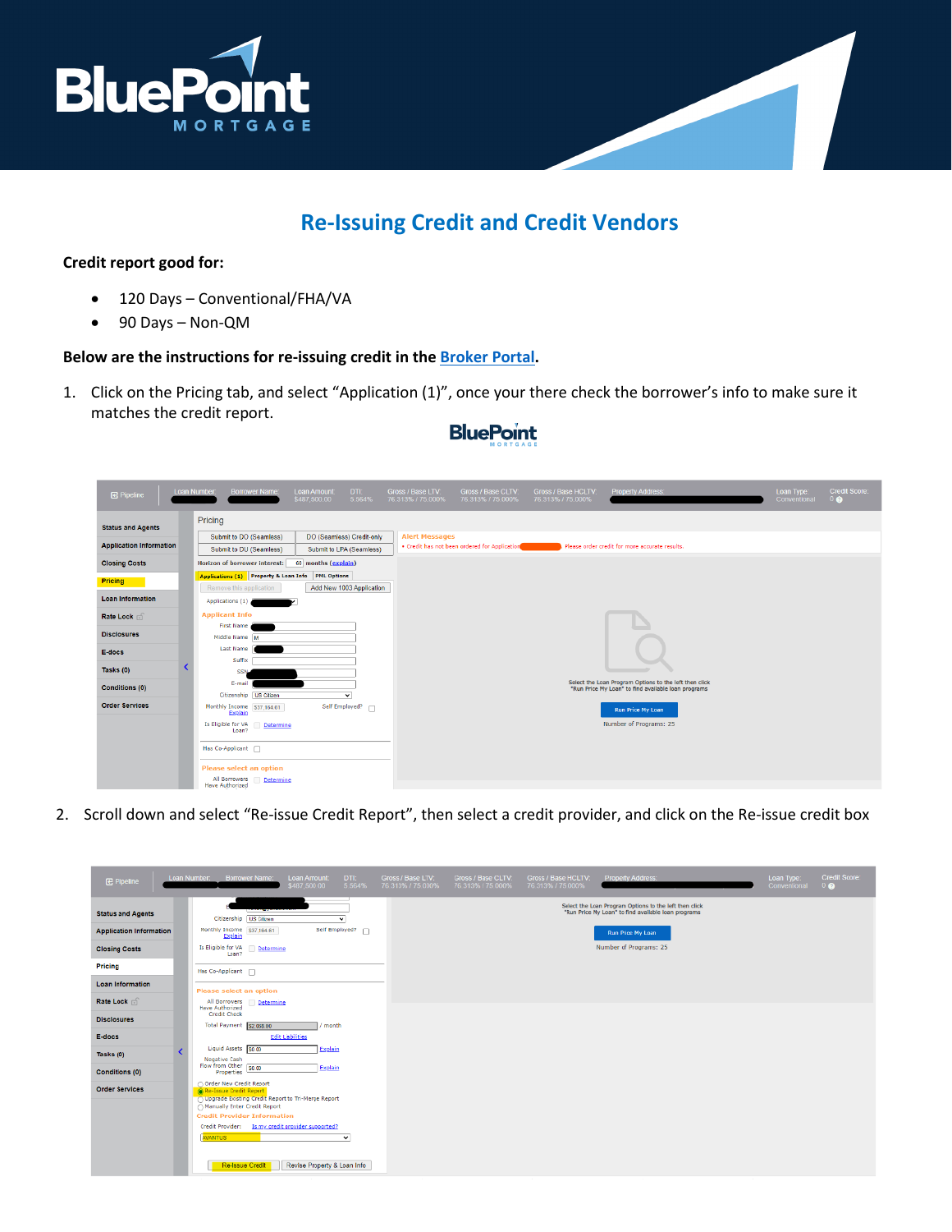

# **Re-Issuing Credit and Credit Vendors**

### **Credit report good for:**

- 120 Days Conventional/FHA/VA
- 90 Days Non-QM

### **Below are the instructions for re-issuing credit in the [Broker Portal.](https://secure.pricemyloan.com/custom/Bluepoint/)**

1. Click on the Pricing tab, and select "Application (1)", once your there check the borrower's info to make sure it matches the credit report.

## **BluePoint**

| <b>B</b> Pipeline              | Loan Number:<br><b>Borrower Name:</b>                                                  | <b>Loan Amount:</b><br>\$487,500.00                                           | DTI:<br>5.564%         | Gross / Base LTV:<br>76.313% / 75.000% | Gross / Base CLTV:<br>76.313% / 75.000%       | Gross / Base HCLTV:<br>76.313% / 75.000% | <b>Property Address:</b>                                                                                      | Loan Type:<br>Conventional | <b>Credit Score:</b><br>0Q |
|--------------------------------|----------------------------------------------------------------------------------------|-------------------------------------------------------------------------------|------------------------|----------------------------------------|-----------------------------------------------|------------------------------------------|---------------------------------------------------------------------------------------------------------------|----------------------------|----------------------------|
| <b>Status and Agents</b>       | Pricing                                                                                |                                                                               |                        |                                        |                                               |                                          |                                                                                                               |                            |                            |
| <b>Application Information</b> | Submit to DO (Seamless)<br>Submit to DU (Seamless)                                     | DO (Seamless) Credit-only<br>Submit to LPA (Seamless)                         |                        | <b>Alert Messages</b>                  | . Credit has not been ordered for Application |                                          | Please order credit for more accurate results.                                                                |                            |                            |
| <b>Closing Costs</b>           | <b>Horizon of borrower interest:</b>                                                   | 60 months (explain)                                                           |                        |                                        |                                               |                                          |                                                                                                               |                            |                            |
| Pricing                        | Remove this application                                                                | Applications (1) Property & Loan Info PML Options<br>Add New 1003 Application |                        |                                        |                                               |                                          |                                                                                                               |                            |                            |
| <b>Loan Information</b>        | Applications (1)                                                                       |                                                                               |                        |                                        |                                               |                                          |                                                                                                               |                            |                            |
| Rate Lock of                   | <b>Applicant Info</b>                                                                  |                                                                               |                        |                                        |                                               |                                          |                                                                                                               |                            |                            |
| <b>Disclosures</b>             | <b>First Name</b><br>Middle Name M                                                     |                                                                               |                        |                                        |                                               |                                          |                                                                                                               |                            |                            |
| E-docs                         | <b>Last Name</b><br>Suffix                                                             |                                                                               |                        |                                        |                                               |                                          |                                                                                                               |                            |                            |
| Tasks (0)                      | <b>SSN</b>                                                                             |                                                                               |                        |                                        |                                               |                                          |                                                                                                               |                            |                            |
| <b>Conditions (0)</b>          | E-mail                                                                                 |                                                                               |                        |                                        |                                               |                                          | Select the Loan Program Options to the left then click<br>"Run Price My Loan" to find available loan programs |                            |                            |
| <b>Order Services</b>          | Citizenship US Citizen<br>Monthly Income \$37,164.61<br>Explain                        |                                                                               | ▿<br>Self Employed? n  |                                        |                                               |                                          | Run Price My Loan                                                                                             |                            |                            |
|                                | Is Eligible for VA<br>Determine<br>Loan?                                               |                                                                               | Number of Programs: 25 |                                        |                                               |                                          |                                                                                                               |                            |                            |
|                                | Has Co-Applicant                                                                       |                                                                               |                        |                                        |                                               |                                          |                                                                                                               |                            |                            |
|                                | <b>Please select an option</b><br>All Borrowers<br>Determine<br><b>Have Authorized</b> |                                                                               |                        |                                        |                                               |                                          |                                                                                                               |                            |                            |

2. Scroll down and select "Re-issue Credit Report", then select a credit provider, and click on the Re-issue credit box

| <b>E</b> Pipeline              | Loan Number:                                                | <b>Borrower Name:</b>  | Loan Amount:<br>\$487,500.00                       | DTL:<br>5.564%     | Gross / Base LTV: | Gross / Base CLTV:<br>76.313% / 75.000% 76.313% / 75.000% 76.313% / 75.000% | Gross / Base HCLTV: | Property Address:                                                                                             | Loan Type:<br>Conventional | Credit Score:<br>0Q |
|--------------------------------|-------------------------------------------------------------|------------------------|----------------------------------------------------|--------------------|-------------------|-----------------------------------------------------------------------------|---------------------|---------------------------------------------------------------------------------------------------------------|----------------------------|---------------------|
| <b>Status and Agents</b>       |                                                             | Citizenship US Citizen |                                                    | ▿                  |                   |                                                                             |                     | Select the Loan Program Options to the left then click<br>"Run Price My Loan" to find available loan programs |                            |                     |
| <b>Application Information</b> | Monthly Income \$37,184.61<br>Explain                       |                        |                                                    | Self Employed? [7] |                   |                                                                             |                     | Run Price My Loan                                                                                             |                            |                     |
| <b>Closing Costs</b>           | Is Eligible for VA<br>Loan?                                 | Determine              |                                                    |                    |                   |                                                                             |                     | Number of Programs: 25                                                                                        |                            |                     |
| Pricing                        | Has Co-Applicant [7]                                        |                        |                                                    |                    |                   |                                                                             |                     |                                                                                                               |                            |                     |
| <b>Loan Information</b>        | Please select an option                                     |                        |                                                    |                    |                   |                                                                             |                     |                                                                                                               |                            |                     |
| Rate Lock                      | All Dorrowers<br><b>Have Authorized</b>                     | Determine              |                                                    |                    |                   |                                                                             |                     |                                                                                                               |                            |                     |
| <b>Disclosures</b>             | Credit Check<br><b>Total Payment</b>                        |                        |                                                    | month.             |                   |                                                                             |                     |                                                                                                               |                            |                     |
| E-docs                         |                                                             | \$2,068.00             | Edit Liabilities                                   |                    |                   |                                                                             |                     |                                                                                                               |                            |                     |
| Tasks $(0)$                    | Liquid Assets 50.00                                         |                        |                                                    | Explain            |                   |                                                                             |                     |                                                                                                               |                            |                     |
| Conditions (0)                 | <b>Negative Cash</b><br>Flow from Other 50.00<br>Properties |                        |                                                    | Explain            |                   |                                                                             |                     |                                                                                                               |                            |                     |
| <b>Order Services</b>          | Order New Credit Report<br>Re-Issue Credit Report           |                        |                                                    |                    |                   |                                                                             |                     |                                                                                                               |                            |                     |
|                                | Manually Enter Credit Report                                |                        | Upgrade Existing Credit Report to Tri-Merge Report |                    |                   |                                                                             |                     |                                                                                                               |                            |                     |
|                                | <b>Credit Provider Information</b>                          |                        |                                                    |                    |                   |                                                                             |                     |                                                                                                               |                            |                     |
|                                | <b>AWANTUS</b>                                              |                        | Credit Provider: Is my credit provider supported?  | $\checkmark$       |                   |                                                                             |                     |                                                                                                               |                            |                     |
|                                |                                                             | Re-Issue Credit        | Revise Property & Loan Info                        |                    |                   |                                                                             |                     |                                                                                                               |                            |                     |
|                                |                                                             |                        |                                                    |                    |                   |                                                                             |                     |                                                                                                               |                            |                     |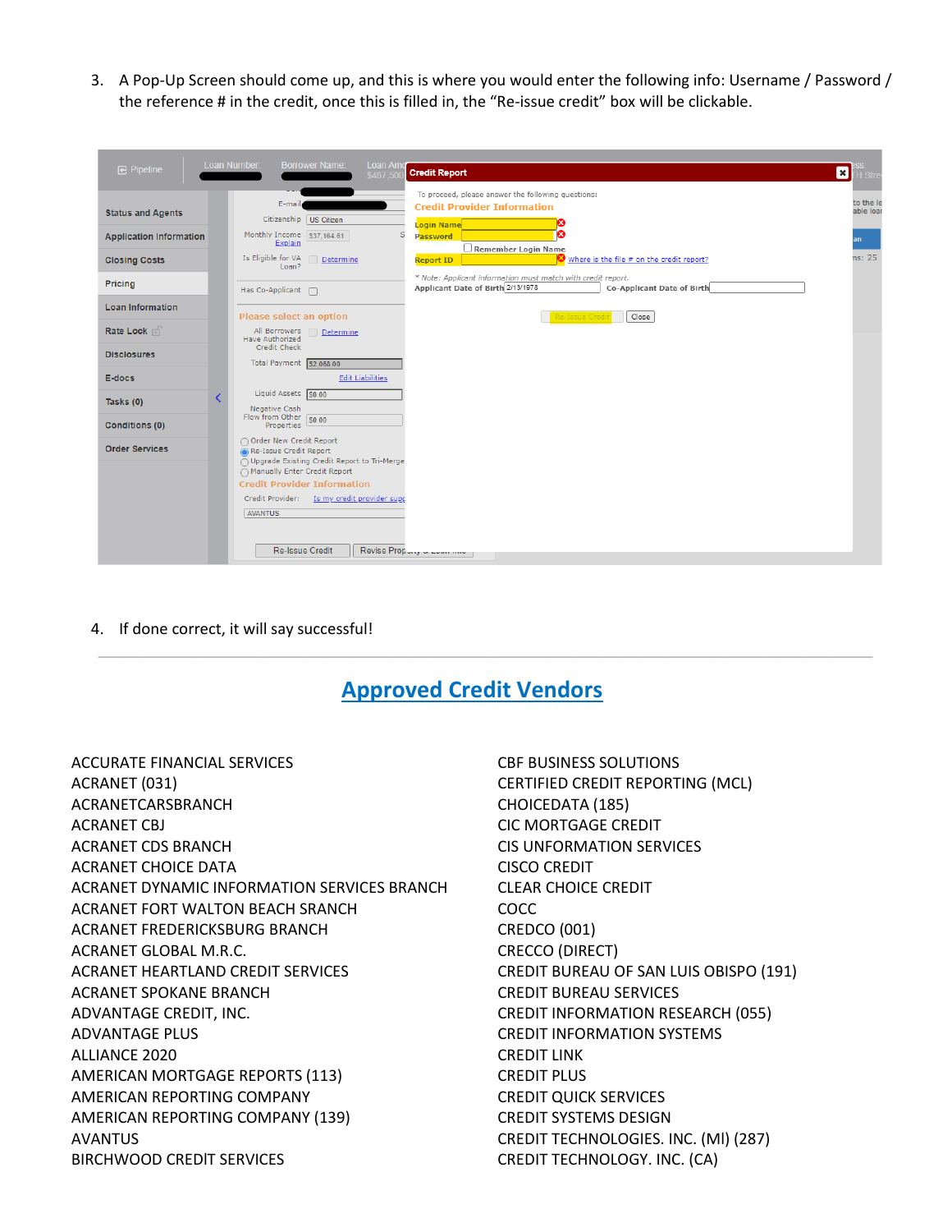3. A Pop-Up Screen should come up, and this is where you would enter the following info: Username / Password / the reference # in the credit, once this is filled in, the "Re-issue credit" box will be clickable.

| $\mathbf{F}$ Pipeline                                      |  | Loan Number:<br><b>Borrower Name:</b><br>Loan Am<br><b>Credit Report</b><br>\$487,50                                                                                                                                                                         | $\boxed{\mathbf{x}}$<br>I Stn |
|------------------------------------------------------------|--|--------------------------------------------------------------------------------------------------------------------------------------------------------------------------------------------------------------------------------------------------------------|-------------------------------|
| <b>Status and Agents</b><br><b>Application Information</b> |  | To proceed, please answer the following questions:<br>E-mail<br><b>Credit Provider Information</b><br>Citizenship US Citizen<br>Login Name<br>Monthly Income \$37,164.61<br>Password<br>Explain<br>Remember Login Name                                       | to the le<br>able loar<br>an  |
| <b>Closing Costs</b>                                       |  | Is Eligible for VA<br>Where is the file # on the credit report?<br>Determine<br><b>Report ID</b><br>Loan?                                                                                                                                                    | ns: 25                        |
| <b>Pricing</b>                                             |  | * Note: Applicant information must match with credit report.<br>Applicant Date of Birth 2/13/1978<br>Co-Applicant Date of Birth<br>Has Co-Applicant n                                                                                                        |                               |
| <b>Loan Information</b>                                    |  | Please select an option<br>Close<br>Re-Issue Cred                                                                                                                                                                                                            |                               |
| Rate Lock of                                               |  | All Borrowers<br>Determine<br><b>Have Authorized</b><br>Credit Check                                                                                                                                                                                         |                               |
| <b>Disclosures</b>                                         |  | Total Payment \$2,068.00                                                                                                                                                                                                                                     |                               |
| E-docs                                                     |  | <b>Edit Liabilities</b><br>Liquid Assets 50.00                                                                                                                                                                                                               |                               |
| Tasks $(0)$                                                |  | Negative Cash<br>Flow from Other $\sqrt{\frac{1}{50.00}}$                                                                                                                                                                                                    |                               |
| <b>Conditions (0)</b>                                      |  | <b>Properties</b><br>Order New Credit Report                                                                                                                                                                                                                 |                               |
| <b>Order Services</b>                                      |  | Re-Issue Credit Report<br>◯ Upgrade Existing Credit Report to Tri-Merge<br>◯ Manually Enter Credit Report<br><b>Credit Provider Information</b><br>Credit Provider: Is my credit provider supp<br>AVANTUS<br>Re-Issue Credit<br>Revise Propony a Lourn month |                               |

4. If done correct, it will say successful!

### **Approved Credit Vendors**

\_\_\_\_\_\_\_\_\_\_\_\_\_\_\_\_\_\_\_\_\_\_\_\_\_\_\_\_\_\_\_\_\_\_\_\_\_\_\_\_\_\_\_\_\_\_\_\_\_\_\_\_\_\_\_\_\_\_\_\_\_\_\_\_\_\_\_\_\_\_\_\_\_\_\_\_\_\_\_\_\_\_\_\_\_\_\_\_\_\_\_

ACCURATE FINANCIAL SERVICES ACRANET (031) ACRANETCARSBRANCH ACRANET CBJ ACRANET CDS BRANCH ACRANET CHOICE DATA ACRANET DYNAMIC INFORMATION SERVICES BRANCH ACRANET FORT WALTON BEACH SRANCH ACRANET FREDERICKSBURG BRANCH ACRANET GLOBAL M.R.C. ACRANET HEARTLAND CREDIT SERVICES ACRANET SPOKANE BRANCH ADVANTAGE CREDIT, INC. ADVANTAGE PLUS ALLIANCE 2020 AMERICAN MORTGAGE REPORTS (113) AMERICAN REPORTING COMPANY AMERICAN REPORTING COMPANY (139) AVANTUS BIRCHWOOD CREDlT SERVICES

CBF BUSINESS SOLUTIONS CERTIFIED CREDIT REPORTING (MCL) CHOICEDATA (185) CIC MORTGAGE CREDIT CIS UNFORMATION SERVICES CISCO CREDIT CLEAR CHOICE CREDIT COCC CREDCO (001) CRECCO (DIRECT) CREDIT BUREAU OF SAN LUIS OBISPO (191) CREDIT BUREAU SERVICES CREDIT INFORMATION RESEARCH (055) CREDIT INFORMATION SYSTEMS CREDIT LINK CREDIT PLUS CREDIT QUICK SERVICES CREDIT SYSTEMS DESIGN CREDIT TECHNOLOGIES. INC. (Ml) (287) CREDIT TECHNOLOGY. INC. (CA)